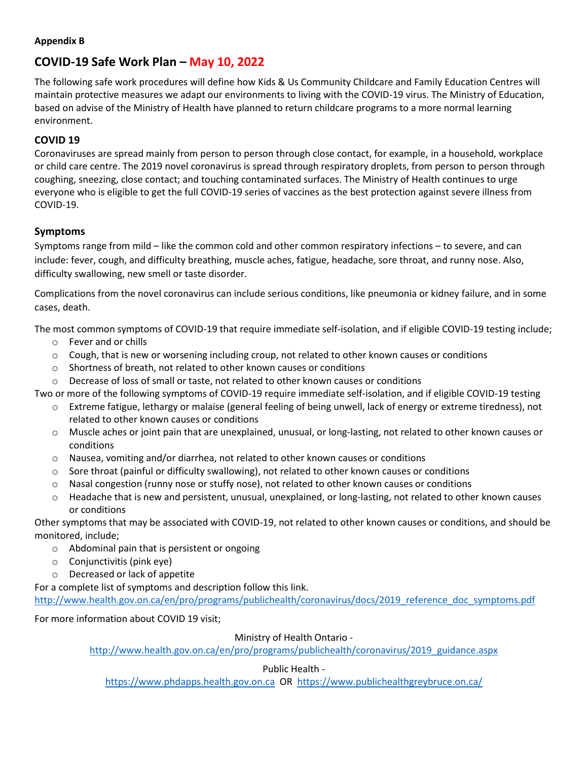#### **Appendix B**

# **COVID-19 Safe Work Plan – May 10, 2022**

The following safe work procedures will define how Kids & Us Community Childcare and Family Education Centres will maintain protective measures we adapt our environments to living with the COVID-19 virus. The Ministry of Education, based on advise of the Ministry of Health have planned to return childcare programs to a more normal learning environment.

## **COVID 19**

Coronaviruses are spread mainly from person to person through close contact, for example, in a household, workplace or child care centre. The 2019 novel coronavirus is spread through respiratory droplets, from person to person through coughing, sneezing, close contact; and touching contaminated surfaces. The Ministry of Health continues to urge everyone who is eligible to get the full COVID-19 series of vaccines as the best protection against severe illness from COVID-19.

## **Symptoms**

Symptoms range from mild – like the common cold and other common respiratory infections – to severe, and can include: fever, cough, and difficulty breathing, muscle aches, fatigue, headache, sore throat, and runny nose. Also, difficulty swallowing, new smell or taste disorder.

Complications from the novel coronavirus can include serious conditions, like pneumonia or kidney failure, and in some cases, death.

The most common symptoms of COVID-19 that require immediate self-isolation, and if eligible COVID-19 testing include;

- o Fever and or chills
- $\circ$  Cough, that is new or worsening including croup, not related to other known causes or conditions
- $\circ$  Shortness of breath, not related to other known causes or conditions
- $\circ$  Decrease of loss of small or taste, not related to other known causes or conditions

Two or more of the following symptoms of COVID-19 require immediate self-isolation, and if eligible COVID-19 testing

- o Extreme fatigue, lethargy or malaise (general feeling of being unwell, lack of energy or extreme tiredness), not related to other known causes or conditions
- o Muscle aches or joint pain that are unexplained, unusual, or long-lasting, not related to other known causes or conditions
- o Nausea, vomiting and/or diarrhea, not related to other known causes or conditions
- $\circ$  Sore throat (painful or difficulty swallowing), not related to other known causes or conditions
- $\circ$  Nasal congestion (runny nose or stuffy nose), not related to other known causes or conditions
- o Headache that is new and persistent, unusual, unexplained, or long-lasting, not related to other known causes or conditions

Other symptoms that may be associated with COVID-19, not related to other known causes or conditions, and should be monitored, include;

- o Abdominal pain that is persistent or ongoing
- o Conjunctivitis (pink eye)
- o Decreased or lack of appetite

For a complete list of symptoms and description follow this link.

http://www.health.gov.on.ca/en/pro/programs/publichealth/coronavirus/docs/2019 reference doc symptoms.pdf

For more information about COVID 19 visit;

### Ministry of Health Ontario -

[http://www.health.gov.on.ca/en/pro/programs/publichealth/coronavirus/2019\\_guidance.aspx](http://www.health.gov.on.ca/en/pro/programs/publichealth/coronavirus/2019_guidance.aspx)

### Public Health -

[https://www.phdapps.health.gov.on.ca](https://www.phdapps.health.gov.on.ca/) OR<https://www.publichealthgreybruce.on.ca/>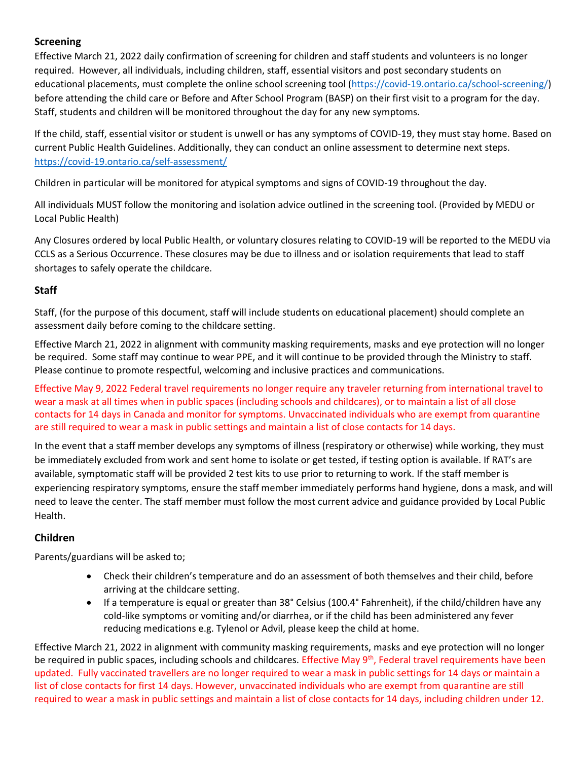# **Screening**

Effective March 21, 2022 daily confirmation of screening for children and staff students and volunteers is no longer required. However, all individuals, including children, staff, essential visitors and post secondary students on educational placements, must complete the online school screening tool [\(https://covid-19.ontario.ca/school-screening/\)](https://covid-19.ontario.ca/school-screening/) before attending the child care or Before and After School Program (BASP) on their first visit to a program for the day. Staff, students and children will be monitored throughout the day for any new symptoms.

If the child, staff, essential visitor or student is unwell or has any symptoms of COVID-19, they must stay home. Based on current Public Health Guidelines. Additionally, they can conduct an online assessment to determine next steps. <https://covid-19.ontario.ca/self-assessment/>

Children in particular will be monitored for atypical symptoms and signs of COVID-19 throughout the day.

All individuals MUST follow the monitoring and isolation advice outlined in the screening tool. (Provided by MEDU or Local Public Health)

Any Closures ordered by local Public Health, or voluntary closures relating to COVID-19 will be reported to the MEDU via CCLS as a Serious Occurrence. These closures may be due to illness and or isolation requirements that lead to staff shortages to safely operate the childcare.

### **Staff**

Staff, (for the purpose of this document, staff will include students on educational placement) should complete an assessment daily before coming to the childcare setting.

Effective March 21, 2022 in alignment with community masking requirements, masks and eye protection will no longer be required. Some staff may continue to wear PPE, and it will continue to be provided through the Ministry to staff. Please continue to promote respectful, welcoming and inclusive practices and communications.

Effective May 9, 2022 Federal travel requirements no longer require any traveler returning from international travel to wear a mask at all times when in public spaces (including schools and childcares), or to maintain a list of all close contacts for 14 days in Canada and monitor for symptoms. Unvaccinated individuals who are exempt from quarantine are still required to wear a mask in public settings and maintain a list of close contacts for 14 days.

In the event that a staff member develops any symptoms of illness (respiratory or otherwise) while working, they must be immediately excluded from work and sent home to isolate or get tested, if testing option is available. If RAT's are available, symptomatic staff will be provided 2 test kits to use prior to returning to work. If the staff member is experiencing respiratory symptoms, ensure the staff member immediately performs hand hygiene, dons a mask, and will need to leave the center. The staff member must follow the most current advice and guidance provided by Local Public Health.

# **Children**

Parents/guardians will be asked to;

- Check their children's temperature and do an assessment of both themselves and their child, before arriving at the childcare setting.
- If a temperature is equal or greater than 38° Celsius (100.4° Fahrenheit), if the child/children have any cold-like symptoms or vomiting and/or diarrhea, or if the child has been administered any fever reducing medications e.g. Tylenol or Advil, please keep the child at home.

Effective March 21, 2022 in alignment with community masking requirements, masks and eye protection will no longer be required in public spaces, including schools and childcares. Effective May 9<sup>th</sup>, Federal travel requirements have been updated. Fully vaccinated travellers are no longer required to wear a mask in public settings for 14 days or maintain a list of close contacts for first 14 days. However, unvaccinated individuals who are exempt from quarantine are still required to wear a mask in public settings and maintain a list of close contacts for 14 days, including children under 12.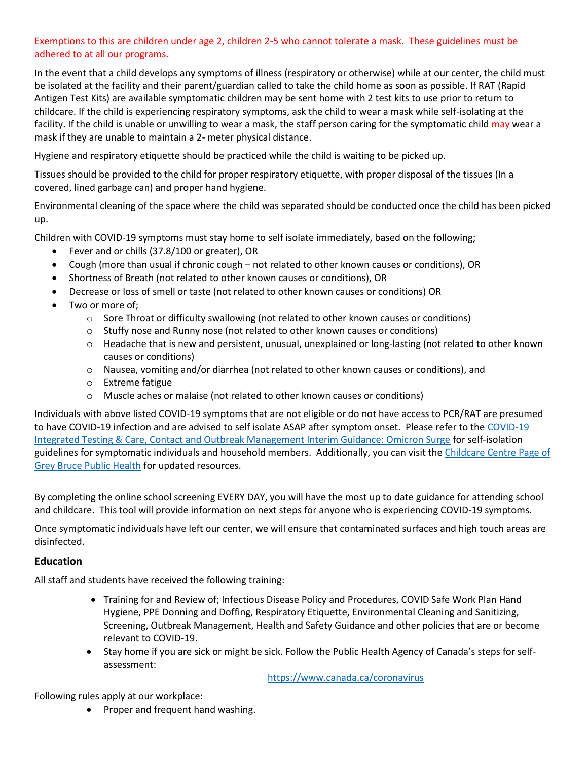## Exemptions to this are children under age 2, children 2-5 who cannot tolerate a mask. These guidelines must be adhered to at all our programs.

In the event that a child develops any symptoms of illness (respiratory or otherwise) while at our center, the child must be isolated at the facility and their parent/guardian called to take the child home as soon as possible. If RAT (Rapid Antigen Test Kits) are available symptomatic children may be sent home with 2 test kits to use prior to return to childcare. If the child is experiencing respiratory symptoms, ask the child to wear a mask while self-isolating at the facility. If the child is unable or unwilling to wear a mask, the staff person caring for the symptomatic child may wear a mask if they are unable to maintain a 2- meter physical distance.

Hygiene and respiratory etiquette should be practiced while the child is waiting to be picked up.

Tissues should be provided to the child for proper respiratory etiquette, with proper disposal of the tissues (In a covered, lined garbage can) and proper hand hygiene.

Environmental cleaning of the space where the child was separated should be conducted once the child has been picked up.

Children with COVID-19 symptoms must stay home to self isolate immediately, based on the following;

- Fever and or chills (37.8/100 or greater), OR
- Cough (more than usual if chronic cough not related to other known causes or conditions), OR
- Shortness of Breath (not related to other known causes or conditions), OR
- Decrease or loss of smell or taste (not related to other known causes or conditions) OR
- Two or more of;
	- $\circ$  Sore Throat or difficulty swallowing (not related to other known causes or conditions)
	- $\circ$  Stuffy nose and Runny nose (not related to other known causes or conditions)
	- o Headache that is new and persistent, unusual, unexplained or long-lasting (not related to other known causes or conditions)
	- o Nausea, vomiting and/or diarrhea (not related to other known causes or conditions), and
	- o Extreme fatigue
	- o Muscle aches or malaise (not related to other known causes or conditions)

Individuals with above listed COVID-19 symptoms that are not eligible or do not have access to PCR/RAT are presumed to have COVID-19 infection and are advised to self isolate ASAP after symptom onset. Please refer to the [COVID-19](https://www.health.gov.on.ca/en/pro/programs/publichealth/coronavirus/docs/contact_mngmt/management_cases_contacts_omicron.pdf)  [Integrated Testing & Care, Contact and Outbreak Management Interim Guidance: Omicron Surge](https://www.health.gov.on.ca/en/pro/programs/publichealth/coronavirus/docs/contact_mngmt/management_cases_contacts_omicron.pdf) for self-isolation guidelines for symptomatic individuals and household members. Additionally, you can visit the Childcare Centre Page of [Grey Bruce Public Health](https://www1.publichealthgreybruce.on.ca/COVID-19/Schools-and-Childcare-Centres/Childcare-Centres) for updated resources.

By completing the online school screening EVERY DAY, you will have the most up to date guidance for attending school and childcare. This tool will provide information on next steps for anyone who is experiencing COVID-19 symptoms.

Once symptomatic individuals have left our center, we will ensure that contaminated surfaces and high touch areas are disinfected.

#### **Education**

All staff and students have received the following training:

- Training for and Review of; Infectious Disease Policy and Procedures, COVID Safe Work Plan Hand Hygiene, PPE Donning and Doffing, Respiratory Etiquette, Environmental Cleaning and Sanitizing, Screening, Outbreak Management, Health and Safety Guidance and other policies that are or become relevant to COVID-19.
- Stay home if you are sick or might be sick. Follow the Public Health Agency of Canada's steps for selfassessment:

<https://www.canada.ca/coronavirus>

Following rules apply at our workplace:

• Proper and frequent hand washing.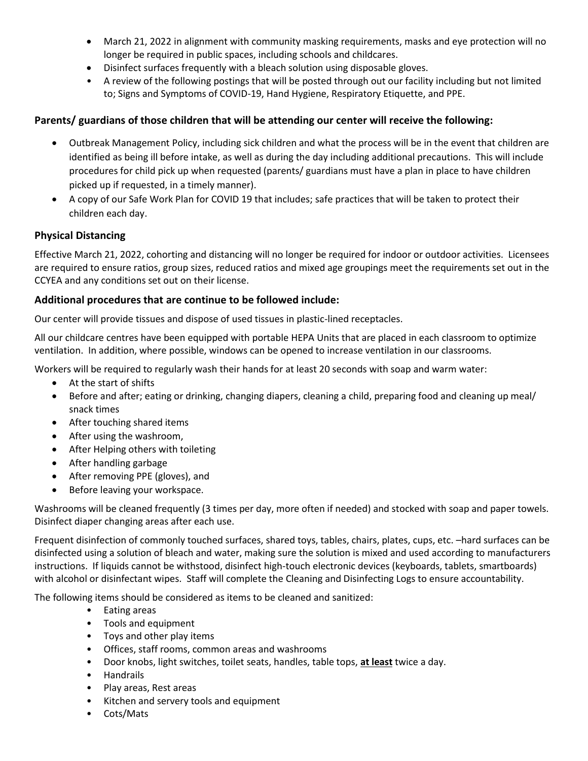- March 21, 2022 in alignment with community masking requirements, masks and eye protection will no longer be required in public spaces, including schools and childcares.
- Disinfect surfaces frequently with a bleach solution using disposable gloves.
- A review of the following postings that will be posted through out our facility including but not limited to; Signs and Symptoms of COVID-19, Hand Hygiene, Respiratory Etiquette, and PPE.

### **Parents/ guardians of those children that will be attending our center will receive the following:**

- Outbreak Management Policy, including sick children and what the process will be in the event that children are identified as being ill before intake, as well as during the day including additional precautions. This will include procedures for child pick up when requested (parents/ guardians must have a plan in place to have children picked up if requested, in a timely manner).
- A copy of our Safe Work Plan for COVID 19 that includes; safe practices that will be taken to protect their children each day.

### **Physical Distancing**

Effective March 21, 2022, cohorting and distancing will no longer be required for indoor or outdoor activities. Licensees are required to ensure ratios, group sizes, reduced ratios and mixed age groupings meet the requirements set out in the CCYEA and any conditions set out on their license.

### **Additional procedures that are continue to be followed include:**

Our center will provide tissues and dispose of used tissues in plastic-lined receptacles.

All our childcare centres have been equipped with portable HEPA Units that are placed in each classroom to optimize ventilation. In addition, where possible, windows can be opened to increase ventilation in our classrooms.

Workers will be required to regularly wash their hands for at least 20 seconds with soap and warm water:

- At the start of shifts
- Before and after; eating or drinking, changing diapers, cleaning a child, preparing food and cleaning up meal/ snack times
- After touching shared items
- After using the washroom,
- After Helping others with toileting
- After handling garbage
- After removing PPE (gloves), and
- Before leaving your workspace.

Washrooms will be cleaned frequently (3 times per day, more often if needed) and stocked with soap and paper towels. Disinfect diaper changing areas after each use.

Frequent disinfection of commonly touched surfaces, shared toys, tables, chairs, plates, cups, etc. –hard surfaces can be disinfected using a solution of bleach and water, making sure the solution is mixed and used according to manufacturers instructions. If liquids cannot be withstood, disinfect high-touch electronic devices (keyboards, tablets, smartboards) with alcohol or disinfectant wipes. Staff will complete the Cleaning and Disinfecting Logs to ensure accountability.

The following items should be considered as items to be cleaned and sanitized:

- Eating areas
- Tools and equipment
- Toys and other play items
- Offices, staff rooms, common areas and washrooms
- Door knobs, light switches, toilet seats, handles, table tops, **at least** twice a day.
- Handrails
- Play areas, Rest areas
- Kitchen and servery tools and equipment
- Cots/Mats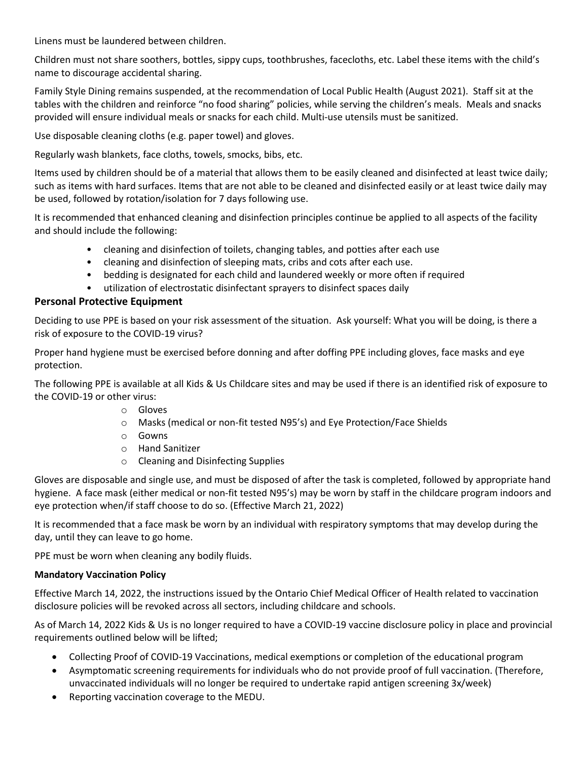Linens must be laundered between children.

Children must not share soothers, bottles, sippy cups, toothbrushes, facecloths, etc. Label these items with the child's name to discourage accidental sharing.

Family Style Dining remains suspended, at the recommendation of Local Public Health (August 2021). Staff sit at the tables with the children and reinforce "no food sharing" policies, while serving the children's meals. Meals and snacks provided will ensure individual meals or snacks for each child. Multi-use utensils must be sanitized.

Use disposable cleaning cloths (e.g. paper towel) and gloves.

Regularly wash blankets, face cloths, towels, smocks, bibs, etc.

Items used by children should be of a material that allows them to be easily cleaned and disinfected at least twice daily; such as items with hard surfaces. Items that are not able to be cleaned and disinfected easily or at least twice daily may be used, followed by rotation/isolation for 7 days following use.

It is recommended that enhanced cleaning and disinfection principles continue be applied to all aspects of the facility and should include the following:

- cleaning and disinfection of toilets, changing tables, and potties after each use
- cleaning and disinfection of sleeping mats, cribs and cots after each use.
- bedding is designated for each child and laundered weekly or more often if required
- utilization of electrostatic disinfectant sprayers to disinfect spaces daily

#### **Personal Protective Equipment**

Deciding to use PPE is based on your risk assessment of the situation. Ask yourself: What you will be doing, is there a risk of exposure to the COVID-19 virus?

Proper hand hygiene must be exercised before donning and after doffing PPE including gloves, face masks and eye protection.

The following PPE is available at all Kids & Us Childcare sites and may be used if there is an identified risk of exposure to the COVID-19 or other virus:

- o Gloves
- o Masks (medical or non-fit tested N95's) and Eye Protection/Face Shields
- o Gowns
- o Hand Sanitizer
- o Cleaning and Disinfecting Supplies

Gloves are disposable and single use, and must be disposed of after the task is completed, followed by appropriate hand hygiene. A face mask (either medical or non-fit tested N95's) may be worn by staff in the childcare program indoors and eye protection when/if staff choose to do so. (Effective March 21, 2022)

It is recommended that a face mask be worn by an individual with respiratory symptoms that may develop during the day, until they can leave to go home.

PPE must be worn when cleaning any bodily fluids.

#### **Mandatory Vaccination Policy**

Effective March 14, 2022, the instructions issued by the Ontario Chief Medical Officer of Health related to vaccination disclosure policies will be revoked across all sectors, including childcare and schools.

As of March 14, 2022 Kids & Us is no longer required to have a COVID-19 vaccine disclosure policy in place and provincial requirements outlined below will be lifted;

- Collecting Proof of COVID-19 Vaccinations, medical exemptions or completion of the educational program
- Asymptomatic screening requirements for individuals who do not provide proof of full vaccination. (Therefore, unvaccinated individuals will no longer be required to undertake rapid antigen screening 3x/week)
- Reporting vaccination coverage to the MEDU.